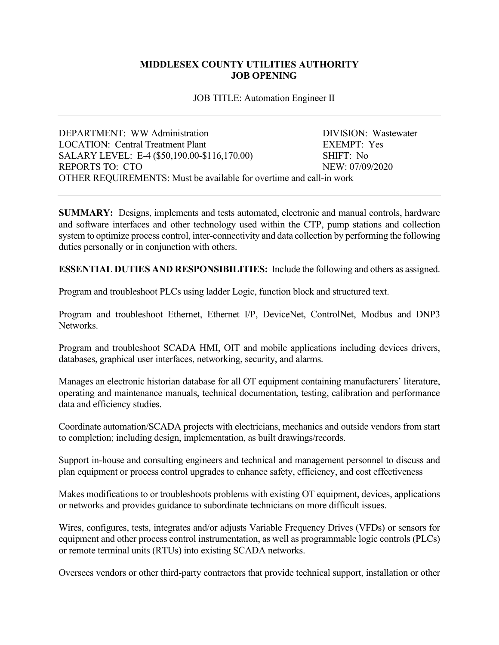## **MIDDLESEX COUNTY UTILITIES AUTHORITY JOB OPENING**

JOB TITLE: Automation Engineer II

| DEPARTMENT: WW Administration                                       | DIVISION: Wastewater |
|---------------------------------------------------------------------|----------------------|
| LOCATION: Central Treatment Plant                                   | EXEMPT: Yes          |
| SALARY LEVEL: E-4 (\$50,190.00-\$116,170.00)                        | SHIFT: No            |
| REPORTS TO: CTO                                                     | NEW: 07/09/2020      |
| OTHER REQUIREMENTS: Must be available for overtime and call-in work |                      |

**SUMMARY:** Designs, implements and tests automated, electronic and manual controls, hardware and software interfaces and other technology used within the CTP, pump stations and collection system to optimize process control, inter-connectivity and data collection by performing the following duties personally or in conjunction with others.

**ESSENTIAL DUTIES AND RESPONSIBILITIES:** Include the following and others as assigned.

Program and troubleshoot PLCs using ladder Logic, function block and structured text.

Program and troubleshoot Ethernet, Ethernet I/P, DeviceNet, ControlNet, Modbus and DNP3 Networks.

Program and troubleshoot SCADA HMI, OIT and mobile applications including devices drivers, databases, graphical user interfaces, networking, security, and alarms.

Manages an electronic historian database for all OT equipment containing manufacturers' literature, operating and maintenance manuals, technical documentation, testing, calibration and performance data and efficiency studies.

Coordinate automation/SCADA projects with electricians, mechanics and outside vendors from start to completion; including design, implementation, as built drawings/records.

Support in-house and consulting engineers and technical and management personnel to discuss and plan equipment or process control upgrades to enhance safety, efficiency, and cost effectiveness

Makes modifications to or troubleshoots problems with existing OT equipment, devices, applications or networks and provides guidance to subordinate technicians on more difficult issues.

Wires, configures, tests, integrates and/or adjusts Variable Frequency Drives (VFDs) or sensors for equipment and other process control instrumentation, as well as programmable logic controls (PLCs) or remote terminal units (RTUs) into existing SCADA networks.

Oversees vendors or other third-party contractors that provide technical support, installation or other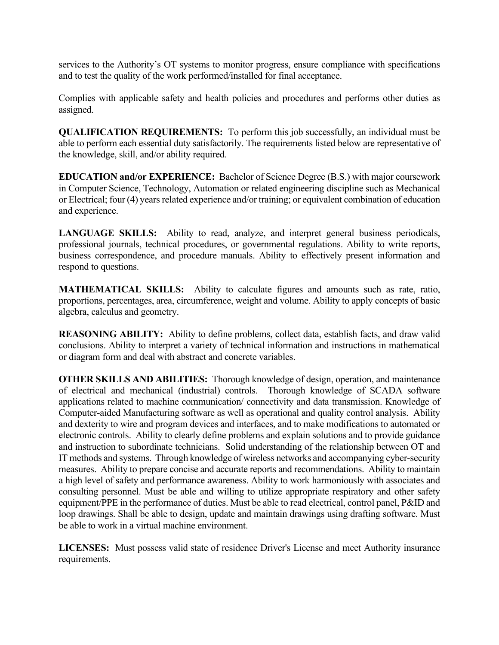services to the Authority's OT systems to monitor progress, ensure compliance with specifications and to test the quality of the work performed/installed for final acceptance.

Complies with applicable safety and health policies and procedures and performs other duties as assigned.

**QUALIFICATION REQUIREMENTS:** To perform this job successfully, an individual must be able to perform each essential duty satisfactorily. The requirements listed below are representative of the knowledge, skill, and/or ability required.

**EDUCATION and/or EXPERIENCE:** Bachelor of Science Degree (B.S.) with major coursework in Computer Science, Technology, Automation or related engineering discipline such as Mechanical or Electrical; four (4) years related experience and/or training; or equivalent combination of education and experience.

LANGUAGE SKILLS: Ability to read, analyze, and interpret general business periodicals, professional journals, technical procedures, or governmental regulations. Ability to write reports, business correspondence, and procedure manuals. Ability to effectively present information and respond to questions.

**MATHEMATICAL SKILLS:** Ability to calculate figures and amounts such as rate, ratio, proportions, percentages, area, circumference, weight and volume. Ability to apply concepts of basic algebra, calculus and geometry.

**REASONING ABILITY:** Ability to define problems, collect data, establish facts, and draw valid conclusions. Ability to interpret a variety of technical information and instructions in mathematical or diagram form and deal with abstract and concrete variables.

**OTHER SKILLS AND ABILITIES:** Thorough knowledge of design, operation, and maintenance of electrical and mechanical (industrial) controls. Thorough knowledge of SCADA software applications related to machine communication/ connectivity and data transmission. Knowledge of Computer-aided Manufacturing software as well as operational and quality control analysis. Ability and dexterity to wire and program devices and interfaces, and to make modifications to automated or electronic controls. Ability to clearly define problems and explain solutions and to provide guidance and instruction to subordinate technicians. Solid understanding of the relationship between OT and IT methods and systems. Through knowledge of wireless networks and accompanying cyber-security measures. Ability to prepare concise and accurate reports and recommendations. Ability to maintain a high level of safety and performance awareness. Ability to work harmoniously with associates and consulting personnel. Must be able and willing to utilize appropriate respiratory and other safety equipment/PPE in the performance of duties. Must be able to read electrical, control panel, P&ID and loop drawings. Shall be able to design, update and maintain drawings using drafting software. Must be able to work in a virtual machine environment.

**LICENSES:** Must possess valid state of residence Driver's License and meet Authority insurance requirements.